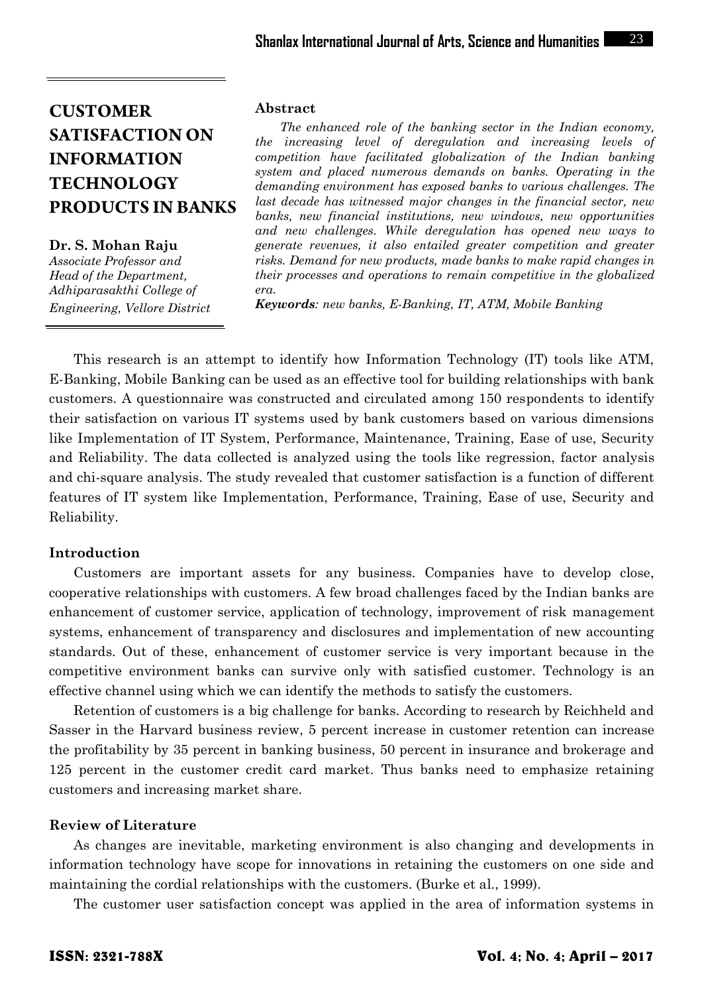**Dr. S. Mohan Raju** *Associate Professor and Head of the Department, Adhiparasakthi College of Engineering, Vellore District*

#### **Abstract**

*The enhanced role of the banking sector in the Indian economy, the increasing level of deregulation and increasing levels of competition have facilitated globalization of the Indian banking system and placed numerous demands on banks. Operating in the demanding environment has exposed banks to various challenges. The last decade has witnessed major changes in the financial sector, new banks, new financial institutions, new windows, new opportunities and new challenges. While deregulation has opened new ways to generate revenues, it also entailed greater competition and greater risks. Demand for new products, made banks to make rapid changes in their processes and operations to remain competitive in the globalized era.*

*Keywords: new banks, E-Banking, IT, ATM, Mobile Banking*

This research is an attempt to identify how Information Technology (IT) tools like ATM, E-Banking, Mobile Banking can be used as an effective tool for building relationships with bank customers. A questionnaire was constructed and circulated among 150 respondents to identify their satisfaction on various IT systems used by bank customers based on various dimensions like Implementation of IT System, Performance, Maintenance, Training, Ease of use, Security and Reliability. The data collected is analyzed using the tools like regression, factor analysis and chi-square analysis. The study revealed that customer satisfaction is a function of different features of IT system like Implementation, Performance, Training, Ease of use, Security and Reliability.

#### **Introduction**

Customers are important assets for any business. Companies have to develop close, cooperative relationships with customers. A few broad challenges faced by the Indian banks are enhancement of customer service, application of technology, improvement of risk management systems, enhancement of transparency and disclosures and implementation of new accounting standards. Out of these, enhancement of customer service is very important because in the competitive environment banks can survive only with satisfied customer. Technology is an effective channel using which we can identify the methods to satisfy the customers.

Retention of customers is a big challenge for banks. According to research by Reichheld and Sasser in the Harvard business review, 5 percent increase in customer retention can increase the profitability by 35 percent in banking business, 50 percent in insurance and brokerage and 125 percent in the customer credit card market. Thus banks need to emphasize retaining customers and increasing market share.

## **Review of Literature**

As changes are inevitable, marketing environment is also changing and developments in information technology have scope for innovations in retaining the customers on one side and maintaining the cordial relationships with the customers. (Burke et al., 1999).

The customer user satisfaction concept was applied in the area of information systems in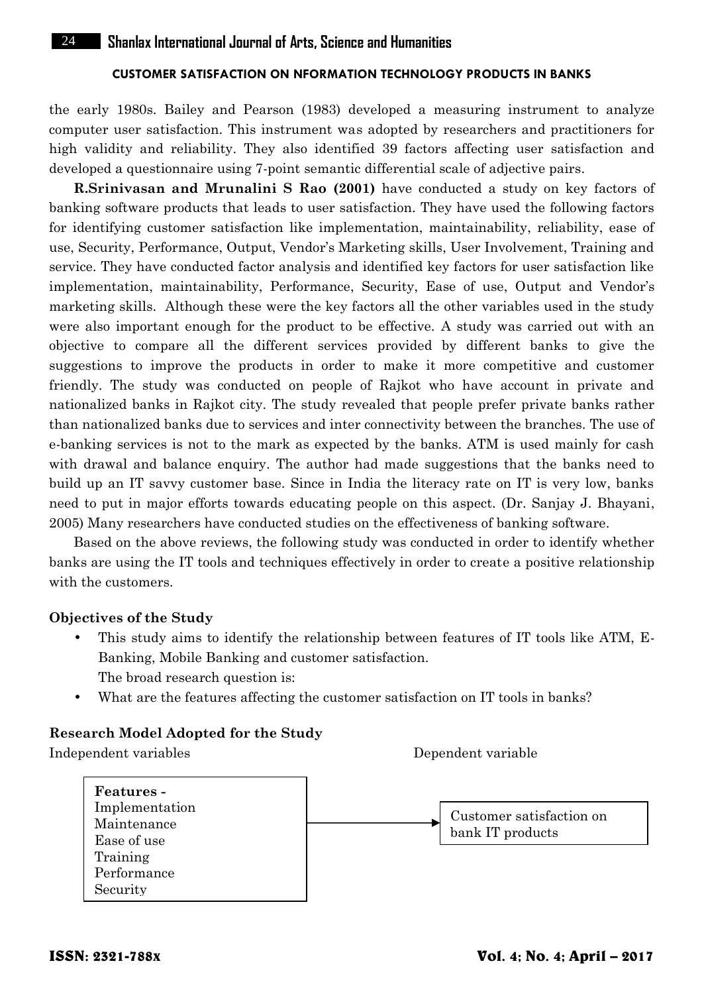the early 1980s. Bailey and Pearson (1983) developed a measuring instrument to analyze computer user satisfaction. This instrument was adopted by researchers and practitioners for high validity and reliability. They also identified 39 factors affecting user satisfaction and developed a questionnaire using 7-point semantic differential scale of adjective pairs.

**R.Srinivasan and Mrunalini S Rao (2001)** have conducted a study on key factors of banking software products that leads to user satisfaction. They have used the following factors for identifying customer satisfaction like implementation, maintainability, reliability, ease of use, Security, Performance, Output, Vendor's Marketing skills, User Involvement, Training and service. They have conducted factor analysis and identified key factors for user satisfaction like implementation, maintainability, Performance, Security, Ease of use, Output and Vendor's marketing skills. Although these were the key factors all the other variables used in the study were also important enough for the product to be effective. A study was carried out with an objective to compare all the different services provided by different banks to give the suggestions to improve the products in order to make it more competitive and customer friendly. The study was conducted on people of Rajkot who have account in private and nationalized banks in Rajkot city. The study revealed that people prefer private banks rather than nationalized banks due to services and inter connectivity between the branches. The use of e-banking services is not to the mark as expected by the banks. ATM is used mainly for cash with drawal and balance enquiry. The author had made suggestions that the banks need to build up an IT savvy customer base. Since in India the literacy rate on IT is very low, banks need to put in major efforts towards educating people on this aspect. (Dr. Sanjay J. Bhayani, 2005) Many researchers have conducted studies on the effectiveness of banking software.

Based on the above reviews, the following study was conducted in order to identify whether banks are using the IT tools and techniques effectively in order to create a positive relationship with the customers.

#### **Objectives of the Study**

- This study aims to identify the relationship between features of IT tools like ATM, E- Banking, Mobile Banking and customer satisfaction. The broad research question is:
- What are the features affecting the customer satisfaction on IT tools in banks?

## **Research Model Adopted for the Study**

Independent variables Dependent variable

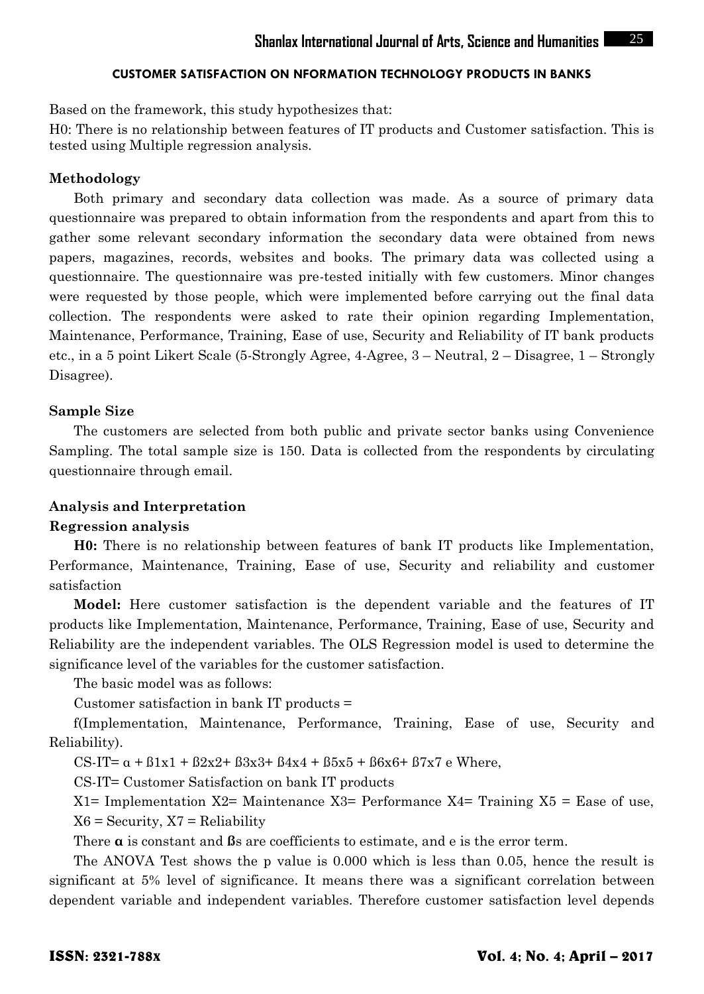Based on the framework, this study hypothesizes that:

H0: There is no relationship between features of IT products and Customer satisfaction. This is tested using Multiple regression analysis.

#### **Methodology**

Both primary and secondary data collection was made. As a source of primary data questionnaire was prepared to obtain information from the respondents and apart from this to gather some relevant secondary information the secondary data were obtained from news papers, magazines, records, websites and books. The primary data was collected using a questionnaire. The questionnaire was pre-tested initially with few customers. Minor changes were requested by those people, which were implemented before carrying out the final data collection. The respondents were asked to rate their opinion regarding Implementation, Maintenance, Performance, Training, Ease of use, Security and Reliability of IT bank products etc., in a 5 point Likert Scale (5-Strongly Agree, 4-Agree, 3 – Neutral, 2 – Disagree, 1 – Strongly Disagree).

## **Sample Size**

The customers are selected from both public and private sector banks using Convenience Sampling. The total sample size is 150. Data is collected from the respondents by circulating questionnaire through email.

#### **Analysis and Interpretation**

#### **Regression analysis**

**H0:** There is no relationship between features of bank IT products like Implementation, Performance, Maintenance, Training, Ease of use, Security and reliability and customer satisfaction

**Model:** Here customer satisfaction is the dependent variable and the features of IT products like Implementation, Maintenance, Performance, Training, Ease of use, Security and Reliability are the independent variables. The OLS Regression model is used to determine the significance level of the variables for the customer satisfaction.

The basic model was as follows:

Customer satisfaction in bank IT products =

f(Implementation, Maintenance, Performance, Training, Ease of use, Security and Reliability).

CS-IT=  $\alpha$  +  $\beta$ 1x1 +  $\beta$ 2x2+  $\beta$ 3x3+  $\beta$ 4x4 +  $\beta$ 5x5 +  $\beta$ 6x6+  $\beta$ 7x7 e Where,

CS-IT= Customer Satisfaction on bank IT products

 $X1=$  Implementation  $X2=$  Maintenance  $X3=$  Performance  $X4=$  Training  $X5=$  Ease of use,  $X6 =$  Security,  $X7 =$  Reliability

There **α** is constant and **ß**s are coefficients to estimate, and e is the error term.

The ANOVA Test shows the p value is 0.000 which is less than 0.05, hence the result is significant at 5% level of significance. It means there was a significant correlation between dependent variable and independent variables. Therefore customer satisfaction level depends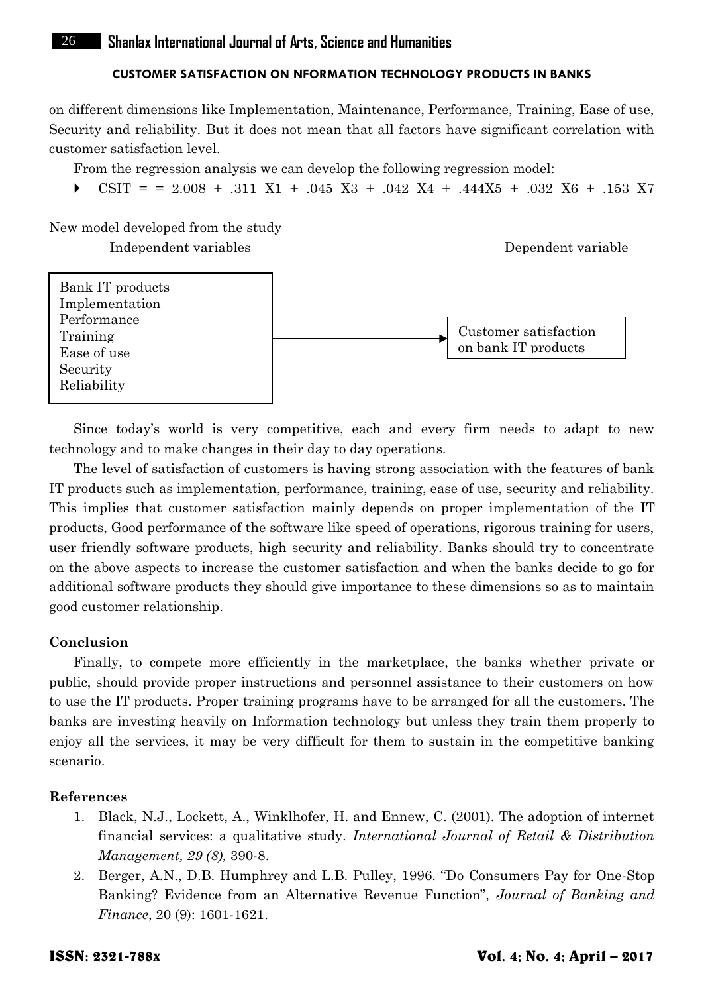on different dimensions like Implementation, Maintenance, Performance, Training, Ease of use, Security and reliability. But it does not mean that all factors have significant correlation with customer satisfaction level.

From the regression analysis we can develop the following regression model:

CSIT =  $= 2.008 + .311$  X1 + .045 X3 + .042 X4 + .444X5 + .032 X6 + .153 X7

New model developed from the study Independent variables Dependent variable



Since today's world is very competitive, each and every firm needs to adapt to new technology and to make changes in their day to day operations.

The level of satisfaction of customers is having strong association with the features of bank IT products such as implementation, performance, training, ease of use, security and reliability. This implies that customer satisfaction mainly depends on proper implementation of the IT products, Good performance of the software like speed of operations, rigorous training for users, user friendly software products, high security and reliability. Banks should try to concentrate on the above aspects to increase the customer satisfaction and when the banks decide to go for additional software products they should give importance to these dimensions so as to maintain good customer relationship.

#### **Conclusion**

Finally, to compete more efficiently in the marketplace, the banks whether private or public, should provide proper instructions and personnel assistance to their customers on how to use the IT products. Proper training programs have to be arranged for all the customers. The banks are investing heavily on Information technology but unless they train them properly to enjoy all the services, it may be very difficult for them to sustain in the competitive banking scenario.

## **References**

- 1. Black, N.J., Lockett, A., Winklhofer, H. and Ennew, C. (2001). The adoption of internet financial services: a qualitative study. *International Journal of Retail & Distribution Management, 29 (8),* 390-8.
- 2. Berger, A.N., D.B. Humphrey and L.B. Pulley, 1996. "Do Consumers Pay for One-Stop Banking? Evidence from an Alternative Revenue Function", *Journal of Banking and Finance*, 20 (9): 1601-1621.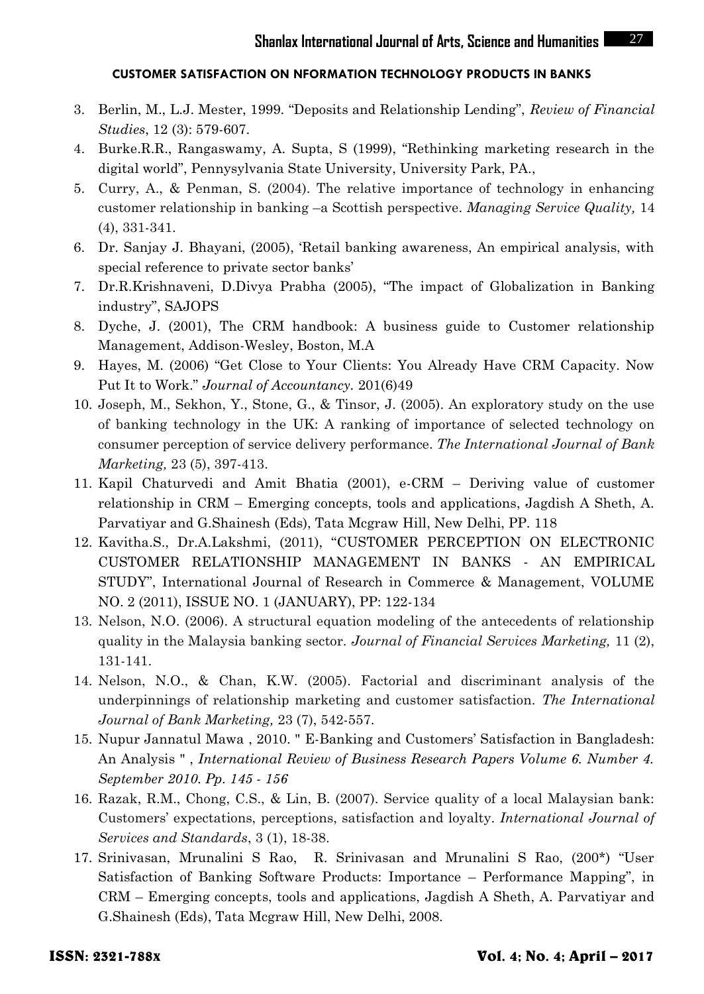- 3. Berlin, M., L.J. Mester, 1999. "Deposits and Relationship Lending", *Review of Financial Studies*, 12 (3): 579-607.
- 4. Burke.R.R., Rangaswamy, A. Supta, S (1999), "Rethinking marketing research in the digital world", Pennysylvania State University, University Park, PA.,
- 5. Curry, A., & Penman, S. (2004). The relative importance of technology in enhancing customer relationship in banking –a Scottish perspective. *Managing Service Quality,* 14 (4), 331-341.
- 6. Dr. Sanjay J. Bhayani, (2005), 'Retail banking awareness, An empirical analysis, with special reference to private sector banks'
- 7. Dr.R.Krishnaveni, D.Divya Prabha (2005), "The impact of Globalization in Banking industry", SAJOPS
- 8. Dyche, J. (2001), The CRM handbook: A business guide to Customer relationship Management, Addison-Wesley, Boston, M.A
- 9. Hayes, M. (2006) "Get Close to Your Clients: You Already Have CRM Capacity. Now Put It to Work." *Journal of Accountancy.* 201(6)49
- 10. Joseph, M., Sekhon, Y., Stone, G., & Tinsor, J. (2005). An exploratory study on the use of banking technology in the UK: A ranking of importance of selected technology on consumer perception of service delivery performance. *The International Journal of Bank Marketing,* 23 (5), 397-413.
- 11. Kapil Chaturvedi and Amit Bhatia (2001), e-CRM Deriving value of customer relationship in CRM – Emerging concepts, tools and applications, Jagdish A Sheth, A. Parvatiyar and G.Shainesh (Eds), Tata Mcgraw Hill, New Delhi, PP. 118
- 12. Kavitha.S., Dr.A.Lakshmi, (2011), "CUSTOMER PERCEPTION ON ELECTRONIC CUSTOMER RELATIONSHIP MANAGEMENT IN BANKS ‐ AN EMPIRICAL STUDY", International Journal of Research in Commerce & Management, VOLUME NO. 2 (2011), ISSUE NO. 1 (JANUARY), PP: 122-134
- 13. Nelson, N.O. (2006). A structural equation modeling of the antecedents of relationship quality in the Malaysia banking sector. *Journal of Financial Services Marketing,* 11 (2), 131-141.
- 14. Nelson, N.O., & Chan, K.W. (2005). Factorial and discriminant analysis of the underpinnings of relationship marketing and customer satisfaction. *The International Journal of Bank Marketing,* 23 (7), 542-557.
- 15. Nupur Jannatul Mawa , 2010. " E-Banking and Customers' Satisfaction in Bangladesh: An Analysis " ,*International Review of Business Research Papers Volume 6. Number 4. September 2010. Pp. 145 - 156*
- 16. Razak, R.M., Chong, C.S., & Lin, B. (2007). Service quality of a local Malaysian bank: Customers' expectations, perceptions, satisfaction and loyalty. *International Journal of Services and Standards*, 3 (1), 18-38.
- 17. Srinivasan, Mrunalini S Rao, R. Srinivasan and Mrunalini S Rao, (200\*) "User Satisfaction of Banking Software Products: Importance – Performance Mapping", in CRM – Emerging concepts, tools and applications, Jagdish A Sheth, A. Parvatiyar and G.Shainesh (Eds), Tata Mcgraw Hill, New Delhi, 2008.